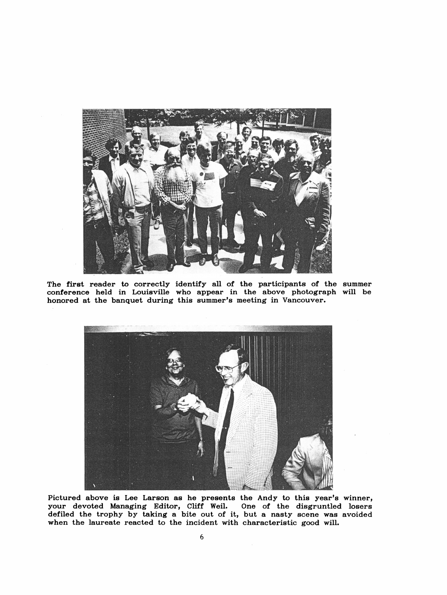

 The first reader to correctly identify all of the participants of the summer conference held in Louisville who appear in the above photograph will be honored at the banquet during this summer's meeting in Vancouver.



 Pictured above is Lee Larson as he presents the Andy to this year's winner, your devoted Managing Editor, Cliff Weil. One of the disgruntled losers defiled the trophy by taking a bite out of it, but a nasty scene was avoided when the laureate reacted to the incident with characteristic good will.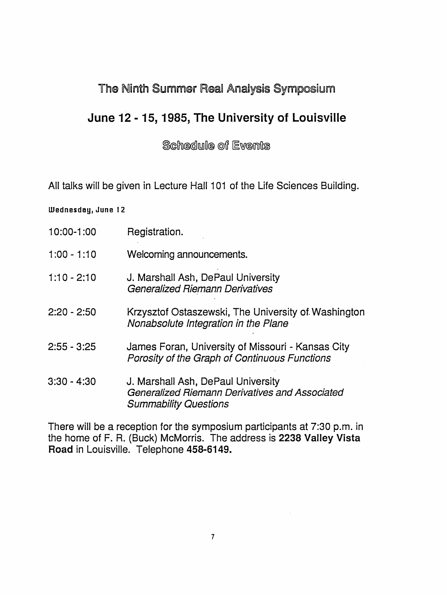## The Ninth Summer Real Analysis Symposium

## June 12-15, 1985, The University of Louisville

Schedule of Events

All talks will be given in Lecture Hall 101 of the Life Sciences Building.

## Wednesday, June 12

- 1 0:00-1 :00 Registration.
- 1 :00 -1:10 Welcoming announcements.
- 1:10 2:10 J. Marshall Ash, DePaul University Generalized Riemann Derivatives
- 2:20 2:50 Krzysztof Ostaszewski, The University of. Washington Nonabsolute Integration in the Plane
- 2:55 3:25 James Foran, University of Missouri Kansas City Porosity of the Graph of Continuous Functions
- 3:30 4:30 J. Marshall Ash, DePaul University Generalized Riemann Derivatives and Associated Summability Questions

 There will be a reception for the symposium participants at 7:30 p.m. in the home of F. R. (Buck) McMorris. The address is 2238 Valley Vista Road in Louisville. Telephone 458-6149.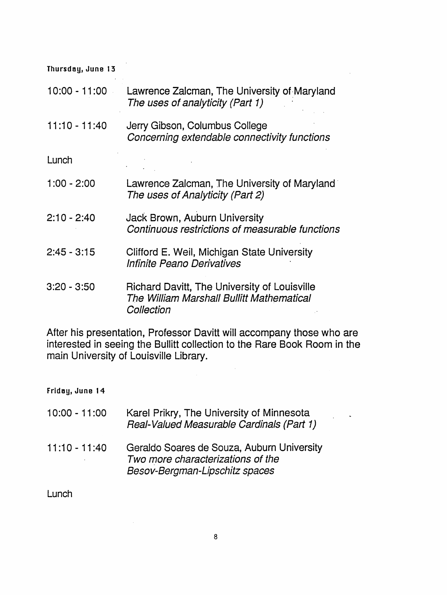| Thursday, June 13 |                                                                                                         |
|-------------------|---------------------------------------------------------------------------------------------------------|
| 10:00 - 11:00     | Lawrence Zalcman, The University of Maryland<br>The uses of analyticity (Part 1)                        |
| $11:10 - 11:40$   | Jerry Gibson, Columbus College<br>Concerning extendable connectivity functions                          |
| Lunch             |                                                                                                         |
| $1:00 - 2:00$     | Lawrence Zalcman, The University of Maryland<br>The uses of Analyticity (Part 2)                        |
| $2:10 - 2:40$     | Jack Brown, Auburn University<br>Continuous restrictions of measurable functions                        |
| $2:45 - 3:15$     | Clifford E. Weil, Michigan State University<br>Infinite Peano Derivatives                               |
| $3:20 - 3:50$     | Richard Davitt, The University of Louisville<br>The William Marshall Bullitt Mathematical<br>Collection |

 $\bar{z}$ 

 $\overline{a}$ 

 After his presentation, Professor Davitt will accompany those who are interested in seeing the Bullitt collection to the Rare Book Room in the main University of Louisville Library.

 $\mathcal{A}^{\mathcal{A}}$ 

Friday, June 1 4

| $10:00 - 11:00$ | Karel Prikry, The University of Minnesota<br>Real-Valued Measurable Cardinals (Part 1)                            |
|-----------------|-------------------------------------------------------------------------------------------------------------------|
| $11:10 - 11:40$ | Geraldo Soares de Souza, Auburn University<br>Two more characterizations of the<br>Besov-Bergman-Lipschitz spaces |

 $\sim 10$ 

Lunch